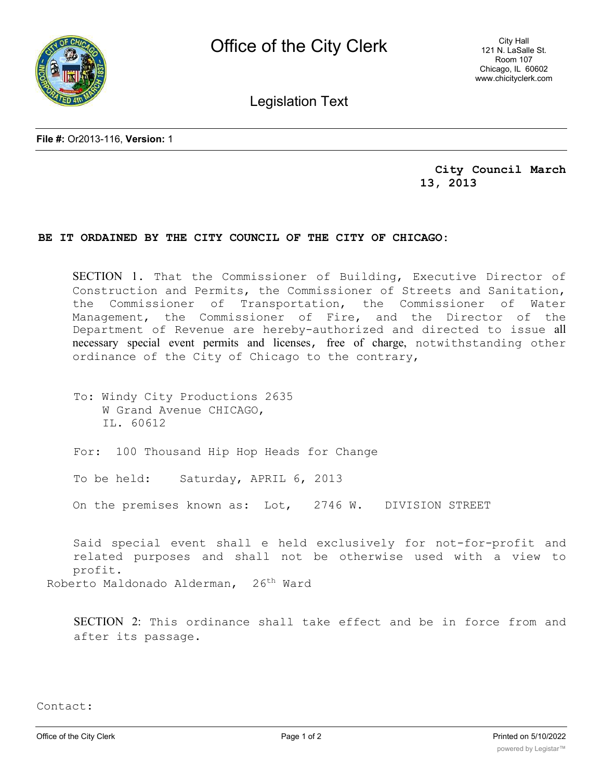

City Hall 121 N. LaSalle St. Room 107 Chicago, IL 60602 www.chicityclerk.com

Legislation Text

**File #:** Or2013-116, **Version:** 1

**City Council March 13, 2013**

## **BE IT ORDAINED BY THE CITY COUNCIL OF THE CITY OF CHICAGO:**

SECTION 1. That the Commissioner of Building, Executive Director of Construction and Permits, the Commissioner of Streets and Sanitation, the Commissioner of Transportation, the Commissioner of Water Management, the Commissioner of Fire, and the Director of the Department of Revenue are hereby-authorized and directed to issue all necessary special event permits and licenses, free of charge, notwithstanding other ordinance of the City of Chicago to the contrary,

To: Windy City Productions 2635 W Grand Avenue CHICAGO, IL. 60612

For: 100 Thousand Hip Hop Heads for Change

To be held: Saturday, APRIL 6, 2013

On the premises known as: Lot, 2746 W. DIVISION STREET

Said special event shall e held exclusively for not-for-profit and related purposes and shall not be otherwise used with a view to profit. Roberto Maldonado Alderman, 26<sup>th</sup> Ward

SECTION 2: This ordinance shall take effect and be in force from and after its passage.

Contact: